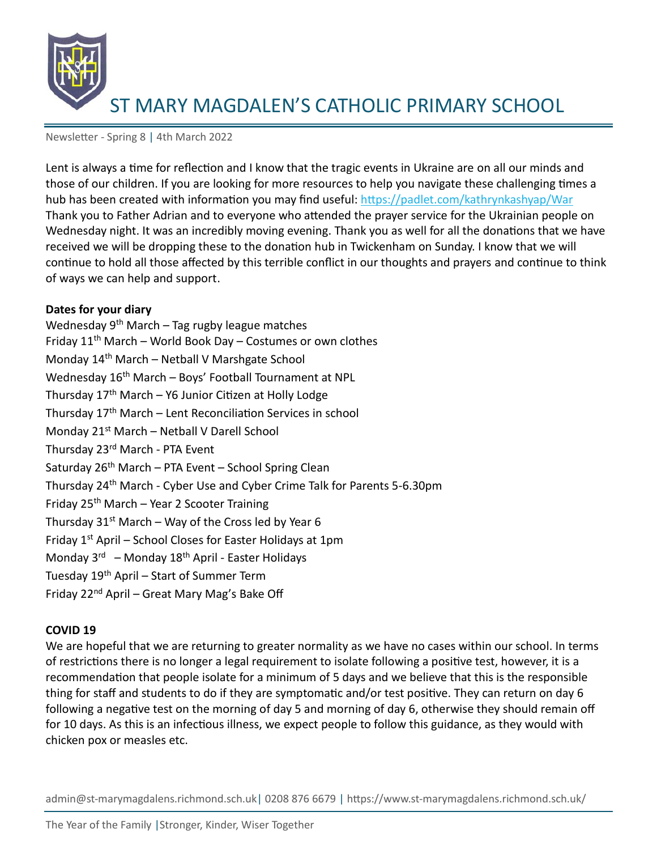

Newsletter - Spring 8 | 4th March 2022

Lent is always a time for reflection and I know that the tragic events in Ukraine are on all our minds and those of our children. If you are looking for more resources to help you navigate these challenging times a hub has been created with information you may find useful:<https://padlet.com/kathrynkashyap/War> Thank you to Father Adrian and to everyone who attended the prayer service for the Ukrainian people on Wednesday night. It was an incredibly moving evening. Thank you as well for all the donations that we have received we will be dropping these to the donation hub in Twickenham on Sunday. I know that we will continue to hold all those affected by this terrible conflict in our thoughts and prayers and continue to think of ways we can help and support.

#### **Dates for your diary**

Wednesday  $9<sup>th</sup>$  March – Tag rugby league matches Friday  $11^{th}$  March – World Book Day – Costumes or own clothes Monday 14th March – Netball V Marshgate School Wednesday 16<sup>th</sup> March - Boys' Football Tournament at NPL Thursday  $17<sup>th</sup>$  March – Y6 Junior Citizen at Holly Lodge Thursday  $17<sup>th</sup>$  March – Lent Reconciliation Services in school Monday 21st March – Netball V Darell School Thursday 23rd March - PTA Event Saturday 26<sup>th</sup> March – PTA Event – School Spring Clean Thursday 24th March - Cyber Use and Cyber Crime Talk for Parents 5-6.30pm Friday  $25<sup>th</sup>$  March – Year 2 Scooter Training Thursday  $31^{st}$  March – Way of the Cross led by Year 6 Friday  $1<sup>st</sup>$  April – School Closes for Easter Holidays at 1pm Monday 3<sup>rd</sup> – Monday 18<sup>th</sup> April - Easter Holidays Tuesday 19th April – Start of Summer Term Friday 22<sup>nd</sup> April – Great Mary Mag's Bake Off

## **COVID 19**

We are hopeful that we are returning to greater normality as we have no cases within our school. In terms of restrictions there is no longer a legal requirement to isolate following a positive test, however, it is a recommendation that people isolate for a minimum of 5 days and we believe that this is the responsible thing for staff and students to do if they are symptomatic and/or test positive. They can return on day 6 following a negative test on the morning of day 5 and morning of day 6, otherwise they should remain off for 10 days. As this is an infectious illness, we expect people to follow this guidance, as they would with chicken pox or measles etc.

admin@st-marymagdalens.richmond.sch.uk| 0208 876 6679 | https://www.st-marymagdalens.richmond.sch.uk/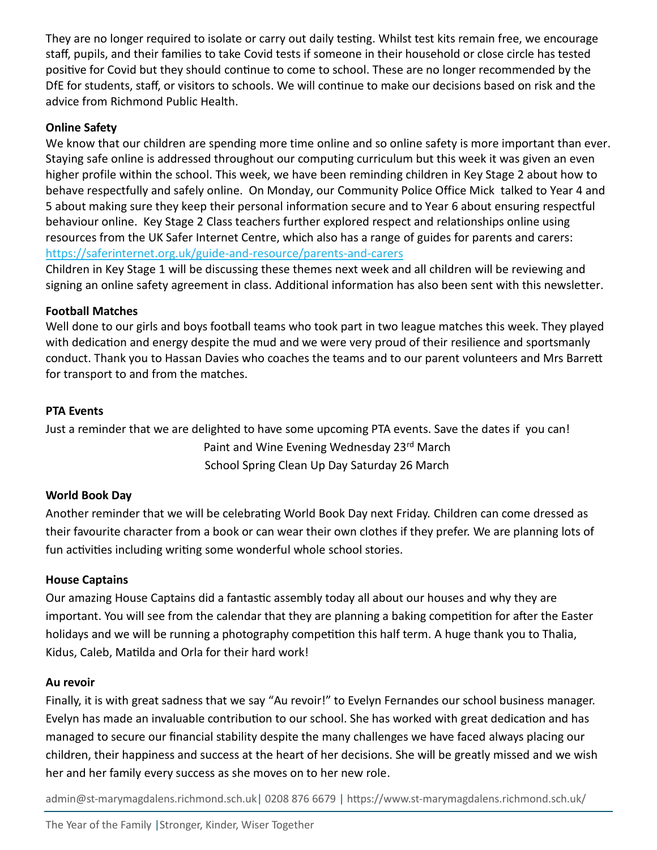They are no longer required to isolate or carry out daily testing. Whilst test kits remain free, we encourage staff, pupils, and their families to take Covid tests if someone in their household or close circle has tested positive for Covid but they should continue to come to school. These are no longer recommended by the DfE for students, staff, or visitors to schools. We will continue to make our decisions based on risk and the advice from Richmond Public Health.

## **Online Safety**

We know that our children are spending more time online and so online safety is more important than ever. Staying safe online is addressed throughout our computing curriculum but this week it was given an even higher profile within the school. This week, we have been reminding children in Key Stage 2 about how to behave respectfully and safely online. On Monday, our Community Police Office Mick talked to Year 4 and 5 about making sure they keep their personal information secure and to Year 6 about ensuring respectful behaviour online. Key Stage 2 Class teachers further explored respect and relationships online using resources from the UK Safer Internet Centre, which also has a range of guides for parents and carers: <https://saferinternet.org.uk/guide-and-resource/parents-and-carers>

Children in Key Stage 1 will be discussing these themes next week and all children will be reviewing and signing an online safety agreement in class. Additional information has also been sent with this newsletter.

## **Football Matches**

Well done to our girls and boys football teams who took part in two league matches this week. They played with dedication and energy despite the mud and we were very proud of their resilience and sportsmanly conduct. Thank you to Hassan Davies who coaches the teams and to our parent volunteers and Mrs Barrett for transport to and from the matches.

## **PTA Events**

Just a reminder that we are delighted to have some upcoming PTA events. Save the dates if you can! Paint and Wine Evening Wednesday 23<sup>rd</sup> March

School Spring Clean Up Day Saturday 26 March

# **World Book Day**

Another reminder that we will be celebrating World Book Day next Friday. Children can come dressed as their favourite character from a book or can wear their own clothes if they prefer. We are planning lots of fun activities including writing some wonderful whole school stories.

# **House Captains**

Our amazing House Captains did a fantastic assembly today all about our houses and why they are important. You will see from the calendar that they are planning a baking competition for after the Easter holidays and we will be running a photography competition this half term. A huge thank you to Thalia, Kidus, Caleb, Matilda and Orla for their hard work!

## **Au revoir**

Finally, it is with great sadness that we say "Au revoir!" to Evelyn Fernandes our school business manager. Evelyn has made an invaluable contribution to our school. She has worked with great dedication and has managed to secure our financial stability despite the many challenges we have faced always placing our children, their happiness and success at the heart of her decisions. She will be greatly missed and we wish her and her family every success as she moves on to her new role.

admin@st-marymagdalens.richmond.sch.uk| 0208 876 6679 | https://www.st-marymagdalens.richmond.sch.uk/